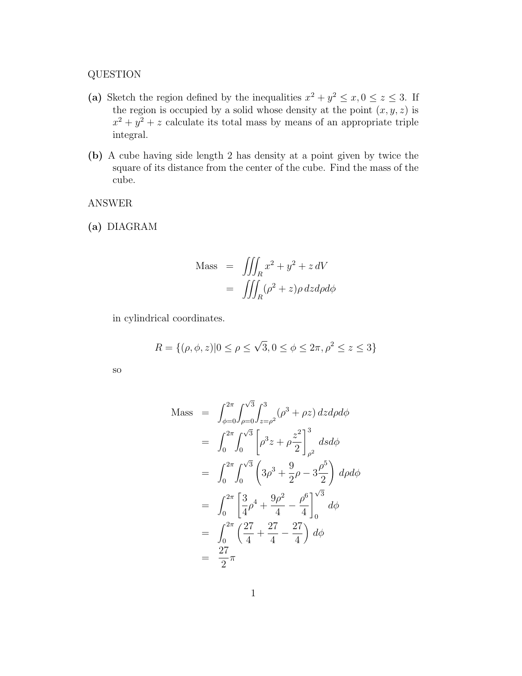## QUESTION

- (a) Sketch the region defined by the inequalities  $x^2 + y^2 \le x, 0 \le z \le 3$ . If the region is occupied by a solid whose density at the point  $(x, y, z)$  is  $x^2 + y^2 + z$  calculate its total mass by means of an appropriate triple integral.
- (b) A cube having side length 2 has density at a point given by twice the square of its distance from the center of the cube. Find the mass of the cube.

ANSWER

(a) DIAGRAM

$$
\begin{aligned} \text{Mass} &= \iiint_R x^2 + y^2 + z \, dV \\ &= \iiint_R (\rho^2 + z) \rho \, dz \, d\rho d\phi \end{aligned}
$$

in cylindrical coordinates.

$$
R = \{(\rho, \phi, z) | 0 \le \rho \le \sqrt{3}, 0 \le \phi \le 2\pi, \rho^2 \le z \le 3\}
$$

so

$$
\begin{split}\n\text{Mass} &= \int_{\phi=0}^{2\pi} \int_{\rho=0}^{\sqrt{3}} \int_{z=\rho^{2}}^{3} (\rho^{3} + \rho z) \, dz \, d\rho d\phi \\
&= \int_{0}^{2\pi} \int_{0}^{\sqrt{3}} \left[ \rho^{3} z + \rho \frac{z^{2}}{2} \right]_{\rho^{2}}^{3} \, ds \, d\phi \\
&= \int_{0}^{2\pi} \int_{0}^{\sqrt{3}} \left( 3\rho^{3} + \frac{9}{2}\rho - 3\frac{\rho^{5}}{2} \right) \, d\rho d\phi \\
&= \int_{0}^{2\pi} \left[ \frac{3}{4}\rho^{4} + \frac{9\rho^{2}}{4} - \frac{\rho^{6}}{4} \right]_{0}^{\sqrt{3}} \, d\phi \\
&= \int_{0}^{2\pi} \left( \frac{27}{4} + \frac{27}{4} - \frac{27}{4} \right) \, d\phi \\
&= \frac{27}{2}\pi\n\end{split}
$$